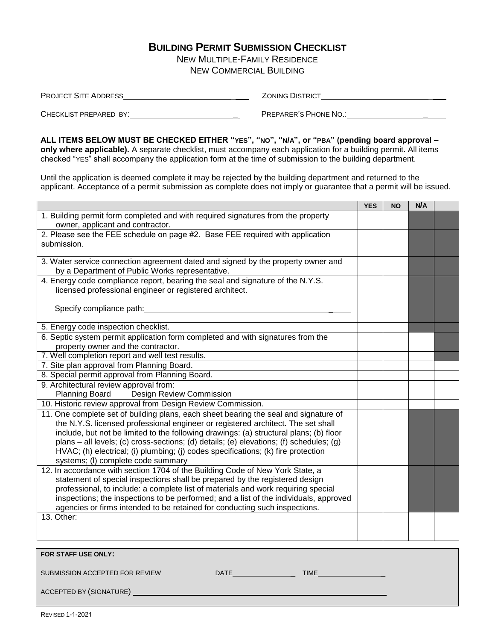### **BUILDING PERMIT SUBMISSION CHECKLIST**

NEW MULTIPLE-FAMILY RESIDENCE NEW COMMERCIAL BUILDING

| <b>PROJECT SITE ADDRESS</b> | <b>ZONING DISTRICT</b> |
|-----------------------------|------------------------|
|                             |                        |
| CHECKLIST PREPARED BY:      | PREPARER'S PHONE NO.:  |

**ALL ITEMS BELOW MUST BE CHECKED EITHER "YES", "NO", "N/A", or "PBA" (pending board approval – only where applicable).** A separate checklist, must accompany each application for a building permit. All items checked "YES" shall accompany the application form at the time of submission to the building department.

Until the application is deemed complete it may be rejected by the building department and returned to the applicant. Acceptance of a permit submission as complete does not imply or guarantee that a permit will be issued.

|                                                                                         | <b>YES</b> | <b>NO</b> | N/A |  |
|-----------------------------------------------------------------------------------------|------------|-----------|-----|--|
| 1. Building permit form completed and with required signatures from the property        |            |           |     |  |
| owner, applicant and contractor.                                                        |            |           |     |  |
| 2. Please see the FEE schedule on page #2. Base FEE required with application           |            |           |     |  |
| submission.                                                                             |            |           |     |  |
|                                                                                         |            |           |     |  |
| 3. Water service connection agreement dated and signed by the property owner and        |            |           |     |  |
| by a Department of Public Works representative.                                         |            |           |     |  |
| 4. Energy code compliance report, bearing the seal and signature of the N.Y.S.          |            |           |     |  |
| licensed professional engineer or registered architect.                                 |            |           |     |  |
|                                                                                         |            |           |     |  |
| Specify compliance path:                                                                |            |           |     |  |
|                                                                                         |            |           |     |  |
| 5. Energy code inspection checklist.                                                    |            |           |     |  |
| 6. Septic system permit application form completed and with signatures from the         |            |           |     |  |
| property owner and the contractor.                                                      |            |           |     |  |
| 7. Well completion report and well test results.                                        |            |           |     |  |
| 7. Site plan approval from Planning Board.                                              |            |           |     |  |
| 8. Special permit approval from Planning Board.                                         |            |           |     |  |
| 9. Architectural review approval from:                                                  |            |           |     |  |
| Planning Board Design Review Commission                                                 |            |           |     |  |
| 10. Historic review approval from Design Review Commission.                             |            |           |     |  |
| 11. One complete set of building plans, each sheet bearing the seal and signature of    |            |           |     |  |
| the N.Y.S. licensed professional engineer or registered architect. The set shall        |            |           |     |  |
| include, but not be limited to the following drawings: (a) structural plans; (b) floor  |            |           |     |  |
| plans - all levels; (c) cross-sections; (d) details; (e) elevations; (f) schedules; (g) |            |           |     |  |
| HVAC; (h) electrical; (i) plumbing; (j) codes specifications; (k) fire protection       |            |           |     |  |
| systems; (I) complete code summary                                                      |            |           |     |  |
| 12. In accordance with section 1704 of the Building Code of New York State, a           |            |           |     |  |
| statement of special inspections shall be prepared by the registered design             |            |           |     |  |
| professional, to include: a complete list of materials and work requiring special       |            |           |     |  |
| inspections; the inspections to be performed; and a list of the individuals, approved   |            |           |     |  |
| agencies or firms intended to be retained for conducting such inspections.              |            |           |     |  |
| 13. Other:                                                                              |            |           |     |  |
|                                                                                         |            |           |     |  |
|                                                                                         |            |           |     |  |
|                                                                                         |            |           |     |  |
|                                                                                         |            |           |     |  |

| FOR STAFF USE ONLY:            |             |      |  |
|--------------------------------|-------------|------|--|
| SUBMISSION ACCEPTED FOR REVIEW | <b>DATE</b> | TIME |  |
| ACCEPTED BY (SIGNATURE)        |             |      |  |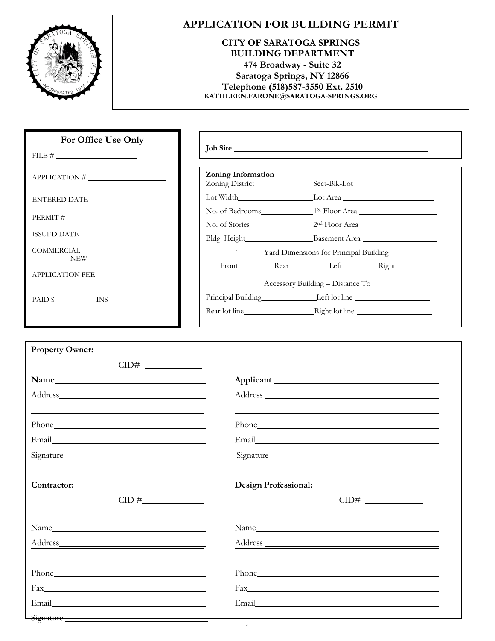

## **APPLICATION FOR BUILDING PERMIT**

#### **CITY OF SARATOGA SPRINGS BUILDING DEPARTMENT 474 Broadway - Suite 32 Saratoga Springs, NY 12866 Telephone (518)587-3550 Ext. 2510 [KATHLEEN.FARONE@SARATOGA-SPRINGS.ORG](mailto:KATHLEEN.FARONE@SARATOGA-SPRINGS.ORG)**

| For Office Use Only                                                                                                                                                                                                                               |                    | Job Site                                                         |
|---------------------------------------------------------------------------------------------------------------------------------------------------------------------------------------------------------------------------------------------------|--------------------|------------------------------------------------------------------|
|                                                                                                                                                                                                                                                   |                    |                                                                  |
| $APPLICATION # \n$                                                                                                                                                                                                                                | Zoning Information |                                                                  |
| ENTERED DATE                                                                                                                                                                                                                                      |                    | Lot Width Lot Area                                               |
| $PERMIT \#$                                                                                                                                                                                                                                       |                    | No. of Stories 2 <sup>nd</sup> Floor Area                        |
| ISSUED DATE                                                                                                                                                                                                                                       |                    |                                                                  |
| COMMERCIAL                                                                                                                                                                                                                                        |                    | Yard Dimensions for Principal Building                           |
| NEW THE STREET OF THE STREET OF THE STREET OF THE STREET OF THE STREET OF THE STREET OF THE STREET OF THE STREET OF THE STREET OF THE STREET OF THE STREET OF THE STREET OF THE STREET OF THE STREET OF THE STREET OF THE STRE<br>APPLICATION FEE |                    | Front Rear Left Right<br><b>Accessory Building - Distance To</b> |
| $PAID$ $NS$ $INS$ $INS$                                                                                                                                                                                                                           |                    | Principal Building Left lot line<br>Rear lot line Right lot line |
|                                                                                                                                                                                                                                                   |                    |                                                                  |

| <b>Property Owner:</b>                                                                                                                                                                                                               |                             |
|--------------------------------------------------------------------------------------------------------------------------------------------------------------------------------------------------------------------------------------|-----------------------------|
|                                                                                                                                                                                                                                      |                             |
| Name                                                                                                                                                                                                                                 |                             |
|                                                                                                                                                                                                                                      |                             |
|                                                                                                                                                                                                                                      |                             |
|                                                                                                                                                                                                                                      |                             |
|                                                                                                                                                                                                                                      |                             |
|                                                                                                                                                                                                                                      | Signature                   |
|                                                                                                                                                                                                                                      |                             |
| Contractor:                                                                                                                                                                                                                          | <b>Design Professional:</b> |
|                                                                                                                                                                                                                                      |                             |
|                                                                                                                                                                                                                                      |                             |
|                                                                                                                                                                                                                                      |                             |
|                                                                                                                                                                                                                                      |                             |
|                                                                                                                                                                                                                                      |                             |
|                                                                                                                                                                                                                                      |                             |
| Fax <b>Executive Contract Contract Contract Contract Contract Contract Contract Contract Contract Contract Contract Contract Contract Contract Contract Contract Contract Contract Contract Contract Contract Contract Contract </b> |                             |
|                                                                                                                                                                                                                                      |                             |
|                                                                                                                                                                                                                                      |                             |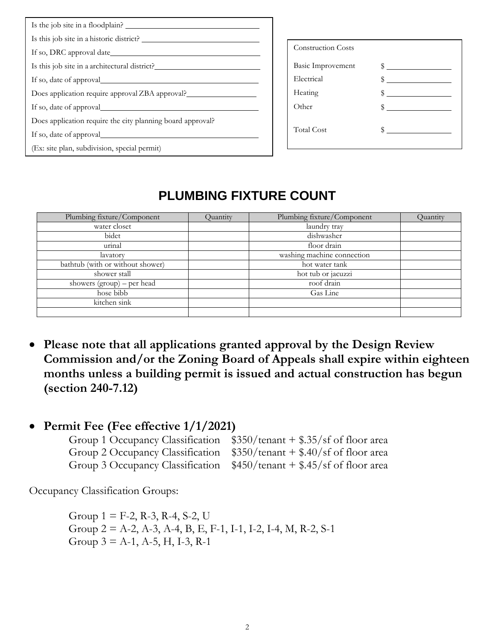| Is the job site in a floodplain?                                                 |                           |              |
|----------------------------------------------------------------------------------|---------------------------|--------------|
| Is this job site in a historic district?                                         |                           |              |
| If so, DRC approval date                                                         | <b>Construction Costs</b> |              |
| Is this job site in a architectural district?                                    | Basic Improvement         |              |
|                                                                                  | Electrical                | $\sim$       |
| Does application require approval ZBA approval?_________________________________ | Heating                   | $\mathbb{S}$ |
|                                                                                  | Other                     |              |
| Does application require the city planning board approval?                       |                           |              |
|                                                                                  | <b>Total Cost</b>         |              |
| (Ex: site plan, subdivision, special permit)                                     |                           |              |
|                                                                                  |                           |              |

# **PLUMBING FIXTURE COUNT**

| Plumbing fixture/Component       | Quantity | Plumbing fixture/Component | Quantity |
|----------------------------------|----------|----------------------------|----------|
| water closet                     |          | laundry tray               |          |
| bidet                            |          | dishwasher                 |          |
| urinal                           |          | floor drain                |          |
| lavatory                         |          | washing machine connection |          |
| bathtub (with or without shower) |          | hot water tank             |          |
| shower stall                     |          | hot tub or jacuzzi         |          |
| showers $(group)$ – per head     |          | roof drain                 |          |
| hose bibb                        |          | Gas Line                   |          |
| kitchen sink                     |          |                            |          |
|                                  |          |                            |          |

- **Please note that all applications granted approval by the Design Review Commission and/or the Zoning Board of Appeals shall expire within eighteen months unless a building permit is issued and actual construction has begun (section 240-7.12)**
- **Permit Fee (Fee effective 1/1/2021)**

| Group 1 Occupancy Classification $$350/$ tenant + \$.35/sf of floor area |
|--------------------------------------------------------------------------|
| Group 2 Occupancy Classification $$350/$ tenant + \$.40/sf of floor area |
| Group 3 Occupancy Classification $$450/$ tenant + \$.45/sf of floor area |

Occupancy Classification Groups:

Group  $1 =$  F-2, R-3, R-4, S-2, U Group 2 = A-2, A-3, A-4, B, E, F-1, I-1, I-2, I-4, M, R-2, S-1 Group  $3 = A-1$ , A-5, H, I-3, R-1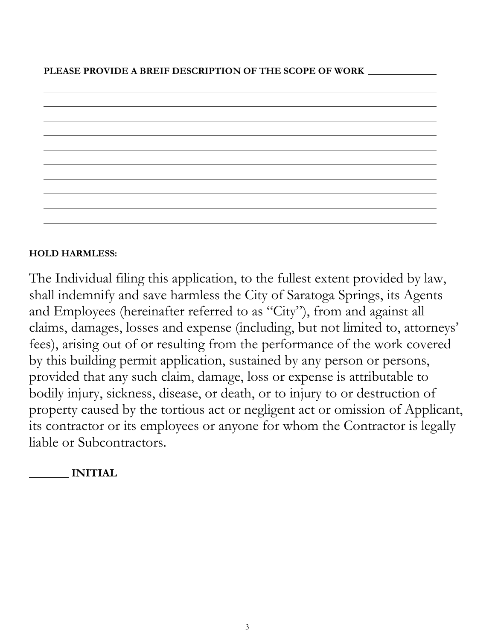

## **HOLD HARMLESS:**

The Individual filing this application, to the fullest extent provided by law, shall indemnify and save harmless the City of Saratoga Springs, its Agents and Employees (hereinafter referred to as "City"), from and against all claims, damages, losses and expense (including, but not limited to, attorneys' fees), arising out of or resulting from the performance of the work covered by this building permit application, sustained by any person or persons, provided that any such claim, damage, loss or expense is attributable to bodily injury, sickness, disease, or death, or to injury to or destruction of property caused by the tortious act or negligent act or omission of Applicant, its contractor or its employees or anyone for whom the Contractor is legally liable or Subcontractors.

## **INITIAL**